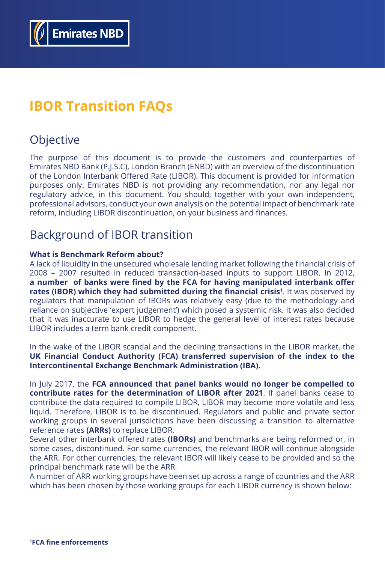

# **IBOR Transition FAQs**

## **Objective**

The purpose of this document is to provide the customers and counterparties of Emirates NBD Bank (P.J.S.C), London Branch (ENBD) with an overview of the discontinuation of the London Interbank Offered Rate (LIBOR). This document is provided for information purposes only. Emirates NBD is not providing any recommendation, nor any legal nor regulatory advice, in this document. You should, together with your own independent, professional advisors, conduct your own analysis on the potential impact of benchmark rate reform, including LIBOR discontinuation, on your business and finances.

## Background of IBOR transition

#### **What is Benchmark Reform about?**

A lack of liquidity in the unsecured wholesale lending market following the financial crisis of 2008 – 2007 resulted in reduced transaction-based inputs to support LIBOR. In 2012, **a number of banks were fined by the FCA for having manipulated interbank offer rates (IBOR) which they had submitted during the financial crisis<sup>1</sup>** . It was observed by regulators that manipulation of IBORs was relatively easy (due to the methodology and reliance on subjective 'expert judgement') which posed a systemic risk. It was also decided that it was inaccurate to use LIBOR to hedge the general level of interest rates because LIBOR includes a term bank credit component.

In the wake of the LIBOR scandal and the declining transactions in the LIBOR market, the **UK Financial Conduct Authority (FCA) transferred supervision of the index to the Intercontinental Exchange Benchmark Administration (IBA).**

In July 2017, the **FCA announced that panel banks would no longer be compelled to contribute rates for the determination of LIBOR after 2021**. If panel banks cease to contribute the data required to compile LIBOR, LIBOR may become more volatile and less liquid. Therefore, LIBOR is to be discontinued. Regulators and public and private sector working groups in several jurisdictions have been discussing a transition to alternative reference rates **(ARRs)** to replace LIBOR. Several other interbank offered rates **(IBORs)** and benchmarks are being reformed or, in some cases, discontinued. For some currencies, the relevant IBOR will continue alongside the ARR. For other currencies, the relevant IBOR will likely cease to be provided and so the principal benchmark rate will be the ARR. A number of ARR working groups have been set up across a range of countries and the ARR which has been chosen by those working groups for each LIBOR currency is shown below:

**1 [FCA fine enforcements](https://www.fca.org.uk/markets/benchmarks/enforcement)**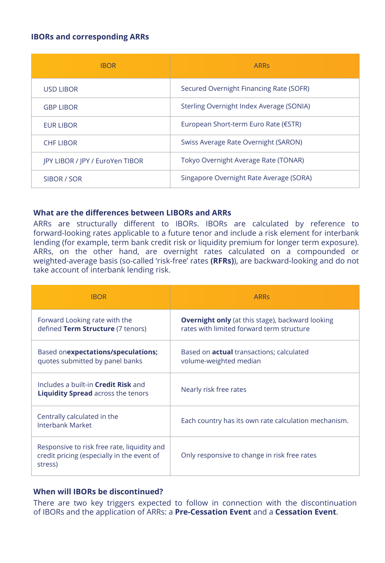#### **What are the differences between LIBORs and ARRs**

ARRs are structurally different to IBORs. IBORs are calculated by reference to forward-looking rates applicable to a future tenor and include a risk element for interbank lending (for example, term bank credit risk or liquidity premium for longer term exposure). ARRs, on the other hand, are overnight rates calculated on a compounded or weighted-average basis (so-called 'risk-free' rates **(RFRs)**), are backward-looking and do not take account of interbank lending risk.

#### **When will IBORs be discontinued?**

There are two key triggers expected to follow in connection with the discontinuation of IBORs and the application of ARRs: a **Pre-Cessation Event** and a **Cessation Event**.

| <b>IBOR</b>                     | <b>ARRS</b>                              |
|---------------------------------|------------------------------------------|
| <b>USD LIBOR</b>                | Secured Overnight Financing Rate (SOFR)  |
| <b>GBP LIBOR</b>                | Sterling Overnight Index Average (SONIA) |
| <b>EUR LIBOR</b>                | European Short-term Euro Rate (€STR)     |
| <b>CHF LIBOR</b>                | Swiss Average Rate Overnight (SARON)     |
| JPY LIBOR / JPY / EuroYen TIBOR | Tokyo Overnight Average Rate (TONAR)     |
| SIBOR / SOR                     | Singapore Overnight Rate Average (SORA)  |

### **IBORs and corresponding ARRs**

| <b>IBOR</b>                                                                             | <b>ARRS</b>                                                                                          |
|-----------------------------------------------------------------------------------------|------------------------------------------------------------------------------------------------------|
| Forward Looking rate with the<br>defined Term Structure (7 tenors)                      | <b>Overnight only</b> (at this stage), backward looking<br>rates with limited forward term structure |
| Based onexpectations/speculations;<br>quotes submitted by panel banks                   | Based on <b>actual</b> transactions; calculated<br>volume-weighted median                            |
| Includes a built-in <b>Credit Risk</b> and<br><b>Liquidity Spread</b> across the tenors | Nearly risk free rates                                                                               |
| Centrally calculated in the<br><b>Interbank Market</b>                                  | Each country has its own rate calculation mechanism.                                                 |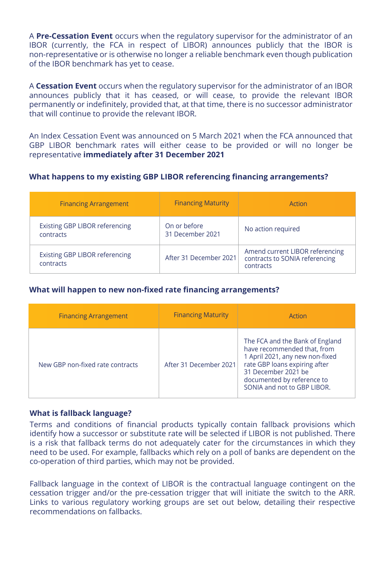#### **What is fallback language?**

Terms and conditions of financial products typically contain fallback provisions which identify how a successor or substitute rate will be selected if LIBOR is not published. There is a risk that fallback terms do not adequately cater for the circumstances in which they need to be used. For example, fallbacks which rely on a poll of banks are dependent on the co-operation of third parties, which may not be provided.

Fallback language in the context of LIBOR is the contractual language contingent on the cessation trigger and/or the pre-cessation trigger that will initiate the switch to the ARR. Links to various regulatory working groups are set out below, detailing their respective recommendations on fallbacks.

A **Pre-Cessation Event** occurs when the regulatory supervisor for the administrator of an IBOR (currently, the FCA in respect of LIBOR) announces publicly that the IBOR is non-representative or is otherwise no longer a reliable benchmark even though publication of the IBOR benchmark has yet to cease.

A **Cessation Event** occurs when the regulatory supervisor for the administrator of an IBOR announces publicly that it has ceased, or will cease, to provide the relevant IBOR permanently or indefinitely, provided that, at that time, there is no successor administrator that will continue to provide the relevant IBOR.

An Index Cessation Event was announced on 5 March 2021 when the FCA announced that GBP LIBOR benchmark rates will either cease to be provided or will no longer be representative **immediately after 31 December 2021**

#### **What happens to my existing GBP LIBOR referencing financing arrangements?**

#### **What will happen to new non-fixed rate financing arrangements?**

| <b>Financing Arrangement</b>                       | <b>Financing Maturity</b>        | Action                                                                         |
|----------------------------------------------------|----------------------------------|--------------------------------------------------------------------------------|
| <b>Existing GBP LIBOR referencing</b><br>contracts | On or before<br>31 December 2021 | No action required                                                             |
| <b>Existing GBP LIBOR referencing</b><br>contracts | After 31 December 2021           | Amend current LIBOR referencing<br>contracts to SONIA referencing<br>contracts |

| <b>Financing Arrangement</b>     | <b>Financing Maturity</b> | Action                                                                                                                                                                                                                 |
|----------------------------------|---------------------------|------------------------------------------------------------------------------------------------------------------------------------------------------------------------------------------------------------------------|
| New GBP non-fixed rate contracts | After 31 December 2021    | The FCA and the Bank of England<br>have recommended that, from<br>1 April 2021, any new non-fixed<br>rate GBP loans expiring after<br>31 December 2021 be<br>documented by reference to<br>SONIA and not to GBP LIBOR. |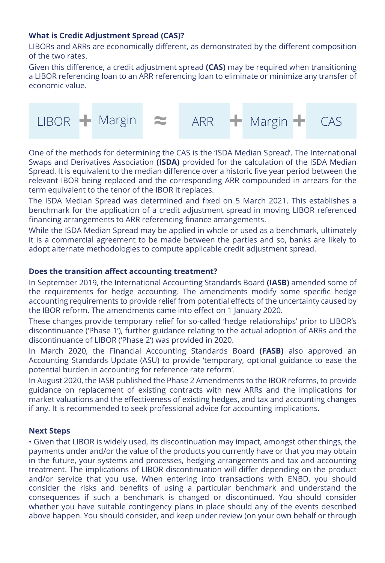### **What is Credit Adjustment Spread (CAS)?**

LIBORs and ARRs are economically different, as demonstrated by the different composition of the two rates.

Given this difference, a credit adjustment spread **(CAS)** may be required when transitioning a LIBOR referencing loan to an ARR referencing loan to eliminate or minimize any transfer of economic value.

One of the methods for determining the CAS is the 'ISDA Median Spread'. The International Swaps and Derivatives Association **(ISDA)** provided for the calculation of the ISDA Median Spread. It is equivalent to the median difference over a historic five year period between the relevant IBOR being replaced and the corresponding ARR compounded in arrears for the term equivalent to the tenor of the IBOR it replaces.

The ISDA Median Spread was determined and fixed on 5 March 2021. This establishes a benchmark for the application of a credit adjustment spread in moving LIBOR referenced financing arrangements to ARR referencing finance arrangements.

While the ISDA Median Spread may be applied in whole or used as a benchmark, ultimately it is a commercial agreement to be made between the parties and so, banks are likely to adopt alternate methodologies to compute applicable credit adjustment spread.

#### **Does the transition affect accounting treatment?**

In September 2019, the International Accounting Standards Board **(IASB)** amended some of the requirements for hedge accounting. The amendments modify some specific hedge accounting requirements to provide relief from potential effects of the uncertainty caused by the IBOR reform. The amendments came into effect on 1 January 2020.

These changes provide temporary relief for so-called 'hedge relationships' prior to LIBOR's discontinuance ('Phase 1'), further guidance relating to the actual adoption of ARRs and the discontinuance of LIBOR ('Phase 2') was provided in 2020.

In March 2020, the Financial Accounting Standards Board **(FASB)** also approved an Accounting Standards Update (ASU) to provide 'temporary, optional guidance to ease the potential burden in accounting for reference rate reform'.

In August 2020, the IASB published the Phase 2 Amendments to the IBOR reforms, to provide guidance on replacement of existing contracts with new ARRs and the implications for market valuations and the effectiveness of existing hedges, and tax and accounting changes if any. It is recommended to seek professional advice for accounting implications.

#### **Next Steps**

• Given that LIBOR is widely used, its discontinuation may impact, amongst other things, the payments under and/or the value of the products you currently have or that you may obtain in the future, your systems and processes, hedging arrangements and tax and accounting treatment. The implications of LIBOR discontinuation will differ depending on the product and/or service that you use. When entering into transactions with ENBD, you should consider the risks and benefits of using a particular benchmark and understand the consequences if such a benchmark is changed or discontinued. You should consider whether you have suitable contingency plans in place should any of the events described above happen. You should consider, and keep under review (on your own behalf or through

LIBOR **+** Margin **≈** ARR **+** Margin **+** CAS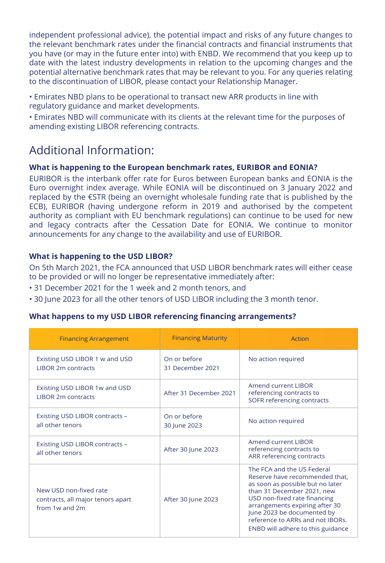independent professional advice), the potential impact and risks of any future changes to the relevant benchmark rates under the financial contracts and financial instruments that you have (or may in the future enter into) with ENBD. We recommend that you keep up to date with the latest industry developments in relation to the upcoming changes and the potential alternative benchmark rates that may be relevant to you. For any queries relating to the discontinuation of LIBOR, please contact your Relationship Manager.

- Emirates NBD plans to be operational to transact new ARR products in line with regulatory guidance and market developments.
- Emirates NBD will communicate with its clients at the relevant time for the purposes of amending existing LIBOR referencing contracts.

## Additional Information:

### **What is happening to the European benchmark rates, EURIBOR and EONIA?**

EURIBOR is the interbank offer rate for Euros between European banks and EONIA is the Euro overnight index average. While EONIA will be discontinued on 3 January 2022 and replaced by the €STR (being an overnight wholesale funding rate that is published by the ECB), EURIBOR (having undergone reform in 2019 and authorised by the competent authority as compliant with EU benchmark regulations) can continue to be used for new and legacy contracts after the Cessation Date for EONIA. We continue to monitor announcements for any change to the availability and use of EURIBOR.

| <b>Financing Arrangement</b>                                                  | <b>Financing Maturity</b>        | <b>Action</b>                                                                                                                                                                                                                                                                                           |
|-------------------------------------------------------------------------------|----------------------------------|---------------------------------------------------------------------------------------------------------------------------------------------------------------------------------------------------------------------------------------------------------------------------------------------------------|
| Existing USD LIBOR 1 w and USD<br><b>LIBOR 2m contracts</b>                   | On or before<br>31 December 2021 | No action required                                                                                                                                                                                                                                                                                      |
| Existing USD LIBOR 1w and USD<br><b>LIBOR 2m contracts</b>                    | After 31 December 2021           | <b>Amend current LIBOR</b><br>referencing contracts to<br><b>SOFR referencing contracts</b>                                                                                                                                                                                                             |
| Existing USD LIBOR contracts -<br>all other tenors                            | On or before<br>30 June 2023     | No action required                                                                                                                                                                                                                                                                                      |
| Existing USD LIBOR contracts -<br>all other tenors                            | After 30 June 2023               | <b>Amend current LIBOR</b><br>referencing contracts to<br>ARR referencing contracts                                                                                                                                                                                                                     |
| New USD non-fixed rate<br>contracts, all major tenors apart<br>from 1w and 2m | After 30 June 2023               | The FCA and the US Federal<br>Reserve have recommended that,<br>as soon as possible but no later<br>than 31 December 2021, new<br>USD non-fixed rate financing<br>arrangements expiring after 30<br>June 2023 be documented by<br>reference to ARRs and not IBORs.<br>ENBD will adhere to this guidance |

## **What is happening to the USD LIBOR?**

On 5th March 2021, the FCA announced that USD LIBOR benchmark rates will either cease to be provided or will no longer be representative immediately after:

- 31 December 2021 for the 1 week and 2 month tenors, and
- 30 June 2023 for all the other tenors of USD LIBOR including the 3 month tenor.

#### **What happens to my USD LIBOR referencing financing arrangements?**